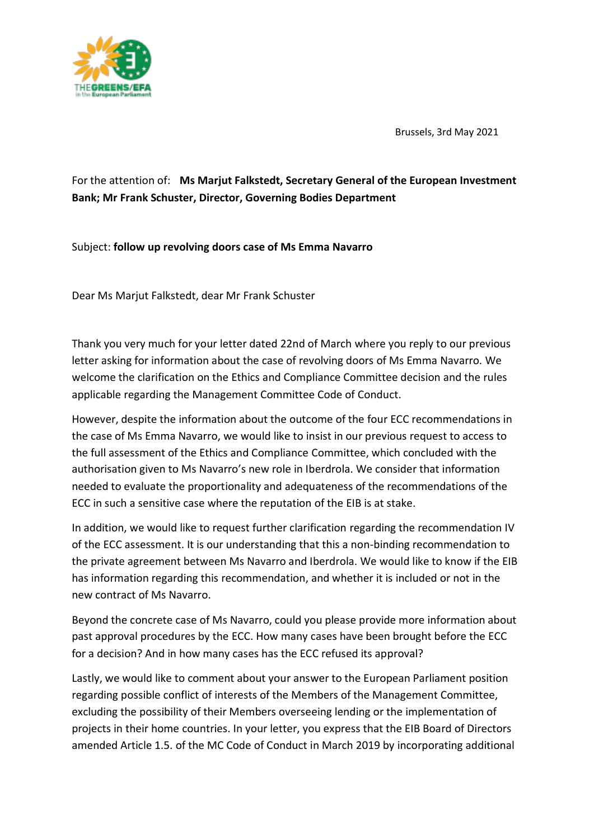

Brussels, 3rd May 2021

## For the attention of: **Ms Marjut Falkstedt, Secretary General of the European Investment Bank; Mr Frank Schuster, Director, Governing Bodies Department**

Subject: **follow up revolving doors case of Ms Emma Navarro**

Dear Ms Marjut Falkstedt, dear Mr Frank Schuster

Thank you very much for your letter dated 22nd of March where you reply to our previous letter asking for information about the case of revolving doors of Ms Emma Navarro. We welcome the clarification on the Ethics and Compliance Committee decision and the rules applicable regarding the Management Committee Code of Conduct.

However, despite the information about the outcome of the four ECC recommendations in the case of Ms Emma Navarro, we would like to insist in our previous request to access to the full assessment of the Ethics and Compliance Committee, which concluded with the authorisation given to Ms Navarro's new role in Iberdrola. We consider that information needed to evaluate the proportionality and adequateness of the recommendations of the ECC in such a sensitive case where the reputation of the EIB is at stake.

In addition, we would like to request further clarification regarding the recommendation IV of the ECC assessment. It is our understanding that this a non-binding recommendation to the private agreement between Ms Navarro and Iberdrola. We would like to know if the EIB has information regarding this recommendation, and whether it is included or not in the new contract of Ms Navarro.

Beyond the concrete case of Ms Navarro, could you please provide more information about past approval procedures by the ECC. How many cases have been brought before the ECC for a decision? And in how many cases has the ECC refused its approval?

Lastly, we would like to comment about your answer to the European Parliament position regarding possible conflict of interests of the Members of the Management Committee, excluding the possibility of their Members overseeing lending or the implementation of projects in their home countries. In your letter, you express that the EIB Board of Directors amended Article 1.5. of the MC Code of Conduct in March 2019 by incorporating additional